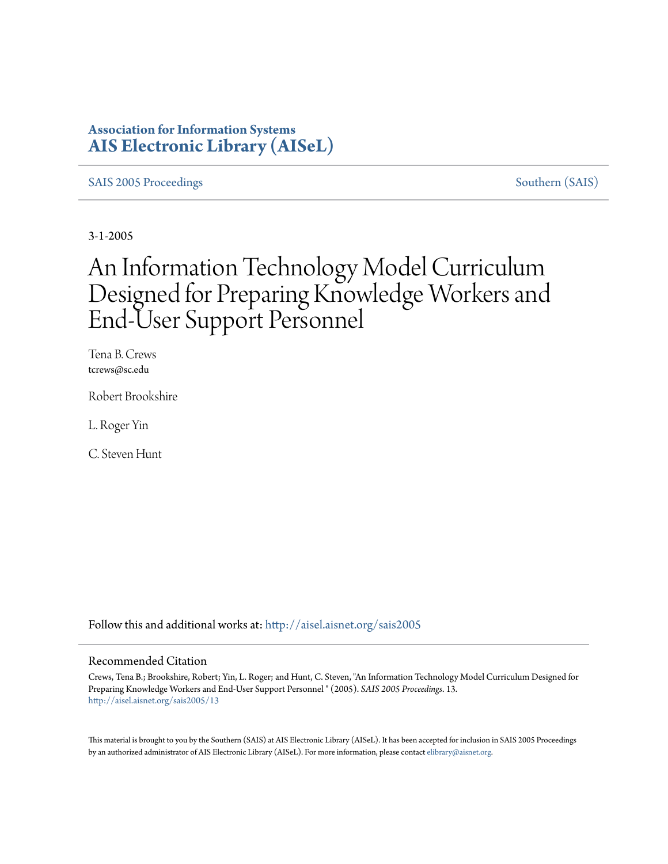## **Association for Information Systems [AIS Electronic Library \(AISeL\)](http://aisel.aisnet.org?utm_source=aisel.aisnet.org%2Fsais2005%2F13&utm_medium=PDF&utm_campaign=PDFCoverPages)**

[SAIS 2005 Proceedings](http://aisel.aisnet.org/sais2005?utm_source=aisel.aisnet.org%2Fsais2005%2F13&utm_medium=PDF&utm_campaign=PDFCoverPages) [Southern \(SAIS\)](http://aisel.aisnet.org/sais?utm_source=aisel.aisnet.org%2Fsais2005%2F13&utm_medium=PDF&utm_campaign=PDFCoverPages)

3-1-2005

# An Information Technology Model Curriculum Designed for Preparing Knowledge Workers and End-User Support Personnel

Tena B. Crews tcrews@sc.edu

Robert Brookshire

L. Roger Yin

C. Steven Hunt

Follow this and additional works at: [http://aisel.aisnet.org/sais2005](http://aisel.aisnet.org/sais2005?utm_source=aisel.aisnet.org%2Fsais2005%2F13&utm_medium=PDF&utm_campaign=PDFCoverPages)

#### Recommended Citation

Crews, Tena B.; Brookshire, Robert; Yin, L. Roger; and Hunt, C. Steven, "An Information Technology Model Curriculum Designed for Preparing Knowledge Workers and End-User Support Personnel " (2005). *SAIS 2005 Proceedings*. 13. [http://aisel.aisnet.org/sais2005/13](http://aisel.aisnet.org/sais2005/13?utm_source=aisel.aisnet.org%2Fsais2005%2F13&utm_medium=PDF&utm_campaign=PDFCoverPages)

This material is brought to you by the Southern (SAIS) at AIS Electronic Library (AISeL). It has been accepted for inclusion in SAIS 2005 Proceedings by an authorized administrator of AIS Electronic Library (AISeL). For more information, please contact [elibrary@aisnet.org](mailto:elibrary@aisnet.org%3E).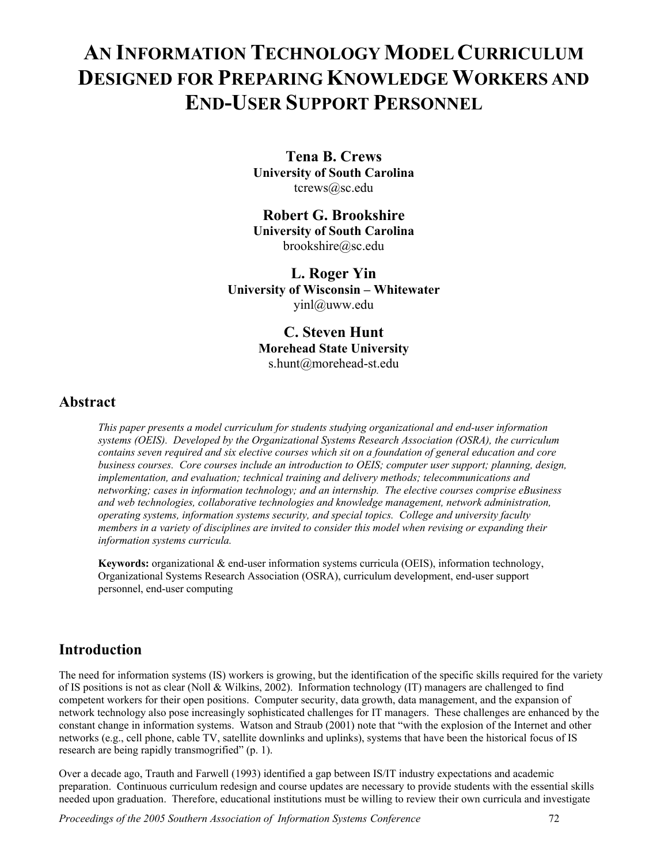## **AN INFORMATION TECHNOLOGY MODEL CURRICULUM DESIGNED FOR PREPARING KNOWLEDGE WORKERS AND END-USER SUPPORT PERSONNEL**

**Tena B. Crews University of South Carolina**  tcrews@sc.edu

**Robert G. Brookshire University of South Carolina**  brookshire@sc.edu

**L. Roger Yin University of Wisconsin – Whitewater**  yinl@uww.edu

> **C. Steven Hunt Morehead State University**  s.hunt@morehead-st.edu

### **Abstract**

*This paper presents a model curriculum for students studying organizational and end-user information systems (OEIS). Developed by the Organizational Systems Research Association (OSRA), the curriculum contains seven required and six elective courses which sit on a foundation of general education and core business courses. Core courses include an introduction to OEIS; computer user support; planning, design, implementation, and evaluation; technical training and delivery methods; telecommunications and networking; cases in information technology; and an internship. The elective courses comprise eBusiness and web technologies, collaborative technologies and knowledge management, network administration, operating systems, information systems security, and special topics. College and university faculty members in a variety of disciplines are invited to consider this model when revising or expanding their information systems curricula.* 

**Keywords:** organizational & end-user information systems curricula (OEIS), information technology, Organizational Systems Research Association (OSRA), curriculum development, end-user support personnel, end-user computing

## **Introduction**

The need for information systems (IS) workers is growing, but the identification of the specific skills required for the variety of IS positions is not as clear (Noll & Wilkins, 2002). Information technology (IT) managers are challenged to find competent workers for their open positions. Computer security, data growth, data management, and the expansion of network technology also pose increasingly sophisticated challenges for IT managers. These challenges are enhanced by the constant change in information systems. Watson and Straub (2001) note that "with the explosion of the Internet and other networks (e.g., cell phone, cable TV, satellite downlinks and uplinks), systems that have been the historical focus of IS research are being rapidly transmogrified" (p. 1).

Over a decade ago, Trauth and Farwell (1993) identified a gap between IS/IT industry expectations and academic preparation. Continuous curriculum redesign and course updates are necessary to provide students with the essential skills needed upon graduation. Therefore, educational institutions must be willing to review their own curricula and investigate

*Proceedings of the 2005 Southern Association of Information Systems Conference* 72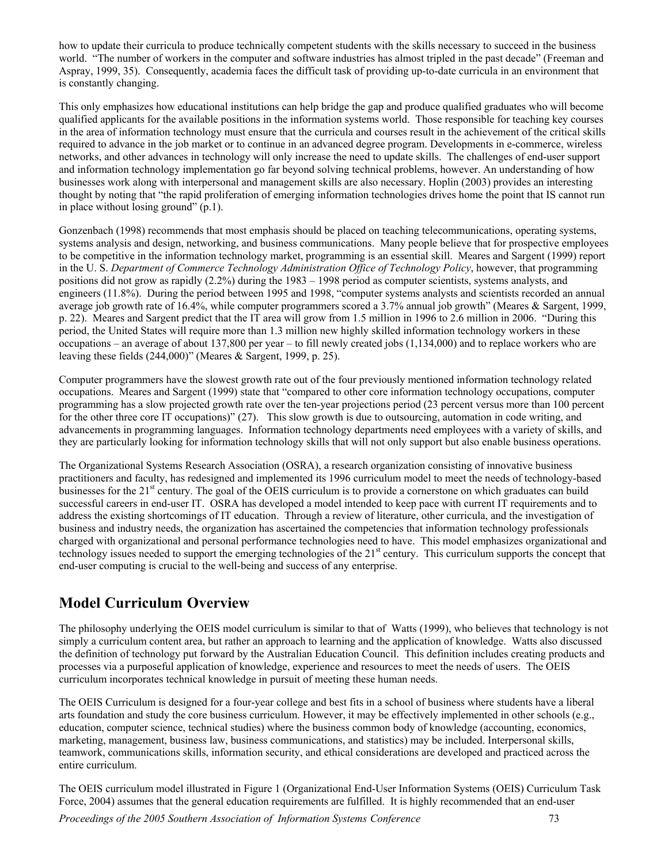how to update their curricula to produce technically competent students with the skills necessary to succeed in the business world. "The number of workers in the computer and software industries has almost tripled in the past decade" (Freeman and Aspray, 1999, 35). Consequently, academia faces the difficult task of providing up-to-date curricula in an environment that is constantly changing.

This only emphasizes how educational institutions can help bridge the gap and produce qualified graduates who will become qualified applicants for the available positions in the information systems world. Those responsible for teaching key courses in the area of information technology must ensure that the curricula and courses result in the achievement of the critical skills required to advance in the job market or to continue in an advanced degree program. Developments in e-commerce, wireless networks, and other advances in technology will only increase the need to update skills. The challenges of end-user support and information technology implementation go far beyond solving technical problems, however. An understanding of how businesses work along with interpersonal and management skills are also necessary. Hoplin (2003) provides an interesting thought by noting that "the rapid proliferation of emerging information technologies drives home the point that IS cannot run in place without losing ground" (p.1).

Gonzenbach (1998) recommends that most emphasis should be placed on teaching telecommunications, operating systems, systems analysis and design, networking, and business communications. Many people believe that for prospective employees to be competitive in the information technology market, programming is an essential skill. Meares and Sargent (1999) report in the U. S. *Department of Commerce Technology Administration Office of Technology Policy*, however, that programming positions did not grow as rapidly (2.2%) during the 1983 – 1998 period as computer scientists, systems analysts, and engineers (11.8%). During the period between 1995 and 1998, "computer systems analysts and scientists recorded an annual average job growth rate of 16.4%, while computer programmers scored a 3.7% annual job growth" (Meares & Sargent, 1999, p. 22). Meares and Sargent predict that the IT area will grow from 1.5 million in 1996 to 2.6 million in 2006. "During this period, the United States will require more than 1.3 million new highly skilled information technology workers in these occupations – an average of about 137,800 per year – to fill newly created jobs (1,134,000) and to replace workers who are leaving these fields (244,000)" (Meares & Sargent, 1999, p. 25).

Computer programmers have the slowest growth rate out of the four previously mentioned information technology related occupations. Meares and Sargent (1999) state that "compared to other core information technology occupations, computer programming has a slow projected growth rate over the ten-year projections period (23 percent versus more than 100 percent for the other three core IT occupations)" (27). This slow growth is due to outsourcing, automation in code writing, and advancements in programming languages. Information technology departments need employees with a variety of skills, and they are particularly looking for information technology skills that will not only support but also enable business operations.

The Organizational Systems Research Association (OSRA), a research organization consisting of innovative business practitioners and faculty, has redesigned and implemented its 1996 curriculum model to meet the needs of technology-based businesses for the 21<sup>st</sup> century. The goal of the OEIS curriculum is to provide a cornerstone on which graduates can build successful careers in end-user IT. OSRA has developed a model intended to keep pace with current IT requirements and to address the existing shortcomings of IT education. Through a review of literature, other curricula, and the investigation of business and industry needs, the organization has ascertained the competencies that information technology professionals charged with organizational and personal performance technologies need to have. This model emphasizes organizational and technology issues needed to support the emerging technologies of the  $21<sup>st</sup>$  century. This curriculum supports the concept that end-user computing is crucial to the well-being and success of any enterprise.

## **Model Curriculum Overview**

The philosophy underlying the OEIS model curriculum is similar to that of Watts (1999), who believes that technology is not simply a curriculum content area, but rather an approach to learning and the application of knowledge. Watts also discussed the definition of technology put forward by the Australian Education Council. This definition includes creating products and processes via a purposeful application of knowledge, experience and resources to meet the needs of users. The OEIS curriculum incorporates technical knowledge in pursuit of meeting these human needs.

The OEIS Curriculum is designed for a four-year college and best fits in a school of business where students have a liberal arts foundation and study the core business curriculum. However, it may be effectively implemented in other schools (e.g., education, computer science, technical studies) where the business common body of knowledge (accounting, economics, marketing, management, business law, business communications, and statistics) may be included. Interpersonal skills, teamwork, communications skills, information security, and ethical considerations are developed and practiced across the entire curriculum.

The OEIS curriculum model illustrated in Figure 1 (Organizational End-User Information Systems (OEIS) Curriculum Task Force, 2004) assumes that the general education requirements are fulfilled. It is highly recommended that an end-user

*Proceedings of the 2005 Southern Association of Information Systems Conference* 73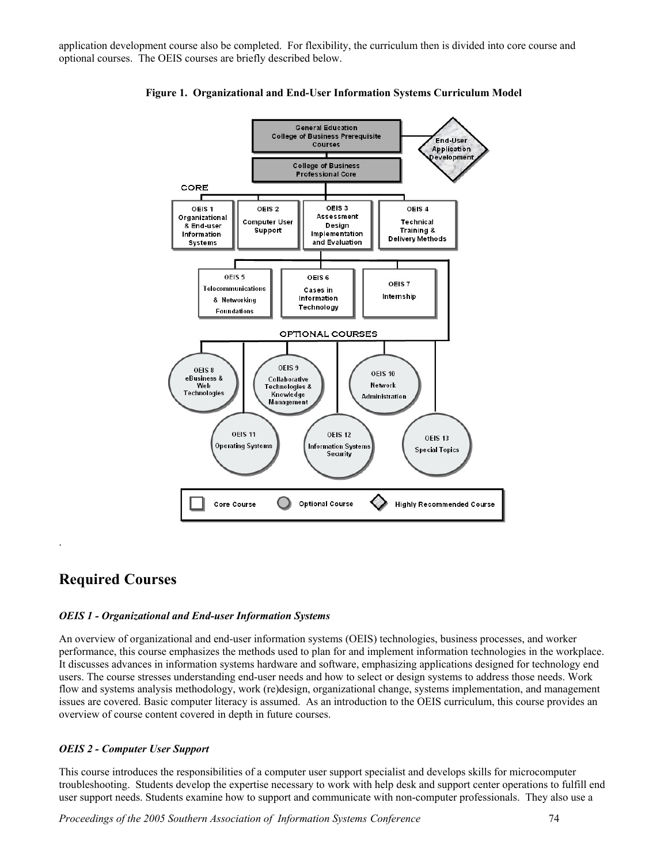application development course also be completed. For flexibility, the curriculum then is divided into core course and optional courses. The OEIS courses are briefly described below.



**Figure 1. Organizational and End-User Information Systems Curriculum Model** 

## **Required Courses**

.

#### *OEIS 1 - Organizational and End-user Information Systems*

An overview of organizational and end-user information systems (OEIS) technologies, business processes, and worker performance, this course emphasizes the methods used to plan for and implement information technologies in the workplace. It discusses advances in information systems hardware and software, emphasizing applications designed for technology end users. The course stresses understanding end-user needs and how to select or design systems to address those needs. Work flow and systems analysis methodology, work (re)design, organizational change, systems implementation, and management issues are covered. Basic computer literacy is assumed. As an introduction to the OEIS curriculum, this course provides an overview of course content covered in depth in future courses.

#### *OEIS 2 - Computer User Support*

This course introduces the responsibilities of a computer user support specialist and develops skills for microcomputer troubleshooting. Students develop the expertise necessary to work with help desk and support center operations to fulfill end user support needs. Students examine how to support and communicate with non-computer professionals. They also use a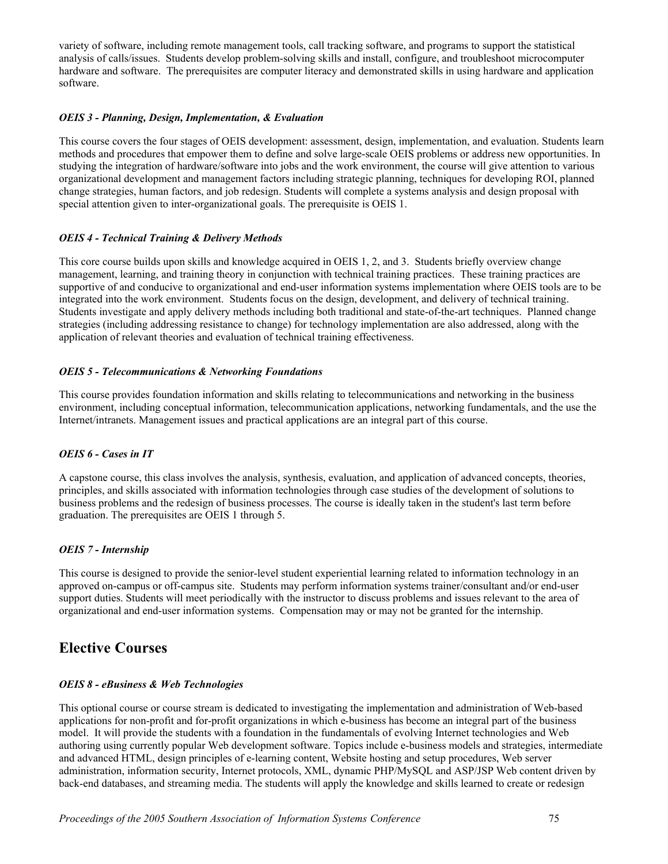variety of software, including remote management tools, call tracking software, and programs to support the statistical analysis of calls/issues. Students develop problem-solving skills and install, configure, and troubleshoot microcomputer hardware and software. The prerequisites are computer literacy and demonstrated skills in using hardware and application software.

#### *OEIS 3 - Planning, Design, Implementation, & Evaluation*

This course covers the four stages of OEIS development: assessment, design, implementation, and evaluation. Students learn methods and procedures that empower them to define and solve large-scale OEIS problems or address new opportunities. In studying the integration of hardware/software into jobs and the work environment, the course will give attention to various organizational development and management factors including strategic planning, techniques for developing ROI, planned change strategies, human factors, and job redesign. Students will complete a systems analysis and design proposal with special attention given to inter-organizational goals. The prerequisite is OEIS 1.

#### *OEIS 4 - Technical Training & Delivery Methods*

This core course builds upon skills and knowledge acquired in OEIS 1, 2, and 3. Students briefly overview change management, learning, and training theory in conjunction with technical training practices. These training practices are supportive of and conducive to organizational and end-user information systems implementation where OEIS tools are to be integrated into the work environment. Students focus on the design, development, and delivery of technical training. Students investigate and apply delivery methods including both traditional and state-of-the-art techniques. Planned change strategies (including addressing resistance to change) for technology implementation are also addressed, along with the application of relevant theories and evaluation of technical training effectiveness.

#### *OEIS 5 - Telecommunications & Networking Foundations*

This course provides foundation information and skills relating to telecommunications and networking in the business environment, including conceptual information, telecommunication applications, networking fundamentals, and the use the Internet/intranets. Management issues and practical applications are an integral part of this course.

#### *OEIS 6 - Cases in IT*

A capstone course, this class involves the analysis, synthesis, evaluation, and application of advanced concepts, theories, principles, and skills associated with information technologies through case studies of the development of solutions to business problems and the redesign of business processes. The course is ideally taken in the student's last term before graduation. The prerequisites are OEIS 1 through 5.

#### *OEIS 7 - Internship*

This course is designed to provide the senior-level student experiential learning related to information technology in an approved on-campus or off-campus site. Students may perform information systems trainer/consultant and/or end-user support duties. Students will meet periodically with the instructor to discuss problems and issues relevant to the area of organizational and end-user information systems. Compensation may or may not be granted for the internship.

## **Elective Courses**

#### *OEIS 8 - eBusiness & Web Technologies*

This optional course or course stream is dedicated to investigating the implementation and administration of Web-based applications for non-profit and for-profit organizations in which e-business has become an integral part of the business model. It will provide the students with a foundation in the fundamentals of evolving Internet technologies and Web authoring using currently popular Web development software. Topics include e-business models and strategies, intermediate and advanced HTML, design principles of e-learning content, Website hosting and setup procedures, Web server administration, information security, Internet protocols, XML, dynamic PHP/MySQL and ASP/JSP Web content driven by back-end databases, and streaming media. The students will apply the knowledge and skills learned to create or redesign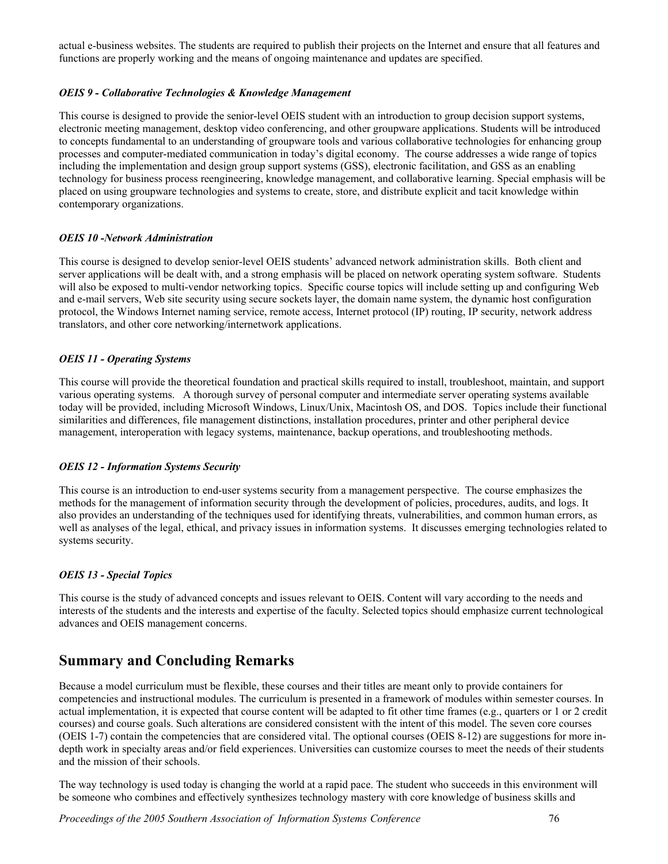actual e-business websites. The students are required to publish their projects on the Internet and ensure that all features and functions are properly working and the means of ongoing maintenance and updates are specified.

#### *OEIS 9 - Collaborative Technologies & Knowledge Management*

This course is designed to provide the senior-level OEIS student with an introduction to group decision support systems, electronic meeting management, desktop video conferencing, and other groupware applications. Students will be introduced to concepts fundamental to an understanding of groupware tools and various collaborative technologies for enhancing group processes and computer-mediated communication in today's digital economy. The course addresses a wide range of topics including the implementation and design group support systems (GSS), electronic facilitation, and GSS as an enabling technology for business process reengineering, knowledge management, and collaborative learning. Special emphasis will be placed on using groupware technologies and systems to create, store, and distribute explicit and tacit knowledge within contemporary organizations.

#### *OEIS 10 -Network Administration*

This course is designed to develop senior-level OEIS students' advanced network administration skills. Both client and server applications will be dealt with, and a strong emphasis will be placed on network operating system software. Students will also be exposed to multi-vendor networking topics. Specific course topics will include setting up and configuring Web and e-mail servers, Web site security using secure sockets layer, the domain name system, the dynamic host configuration protocol, the Windows Internet naming service, remote access, Internet protocol (IP) routing, IP security, network address translators, and other core networking/internetwork applications.

#### *OEIS 11 - Operating Systems*

This course will provide the theoretical foundation and practical skills required to install, troubleshoot, maintain, and support various operating systems. A thorough survey of personal computer and intermediate server operating systems available today will be provided, including Microsoft Windows, Linux/Unix, Macintosh OS, and DOS. Topics include their functional similarities and differences, file management distinctions, installation procedures, printer and other peripheral device management, interoperation with legacy systems, maintenance, backup operations, and troubleshooting methods.

#### *OEIS 12 - Information Systems Security*

This course is an introduction to end-user systems security from a management perspective. The course emphasizes the methods for the management of information security through the development of policies, procedures, audits, and logs. It also provides an understanding of the techniques used for identifying threats, vulnerabilities, and common human errors, as well as analyses of the legal, ethical, and privacy issues in information systems. It discusses emerging technologies related to systems security.

#### *OEIS 13 - Special Topics*

This course is the study of advanced concepts and issues relevant to OEIS. Content will vary according to the needs and interests of the students and the interests and expertise of the faculty. Selected topics should emphasize current technological advances and OEIS management concerns.

## **Summary and Concluding Remarks**

Because a model curriculum must be flexible, these courses and their titles are meant only to provide containers for competencies and instructional modules. The curriculum is presented in a framework of modules within semester courses. In actual implementation, it is expected that course content will be adapted to fit other time frames (e.g., quarters or 1 or 2 credit courses) and course goals. Such alterations are considered consistent with the intent of this model. The seven core courses (OEIS 1-7) contain the competencies that are considered vital. The optional courses (OEIS 8-12) are suggestions for more indepth work in specialty areas and/or field experiences. Universities can customize courses to meet the needs of their students and the mission of their schools.

The way technology is used today is changing the world at a rapid pace. The student who succeeds in this environment will be someone who combines and effectively synthesizes technology mastery with core knowledge of business skills and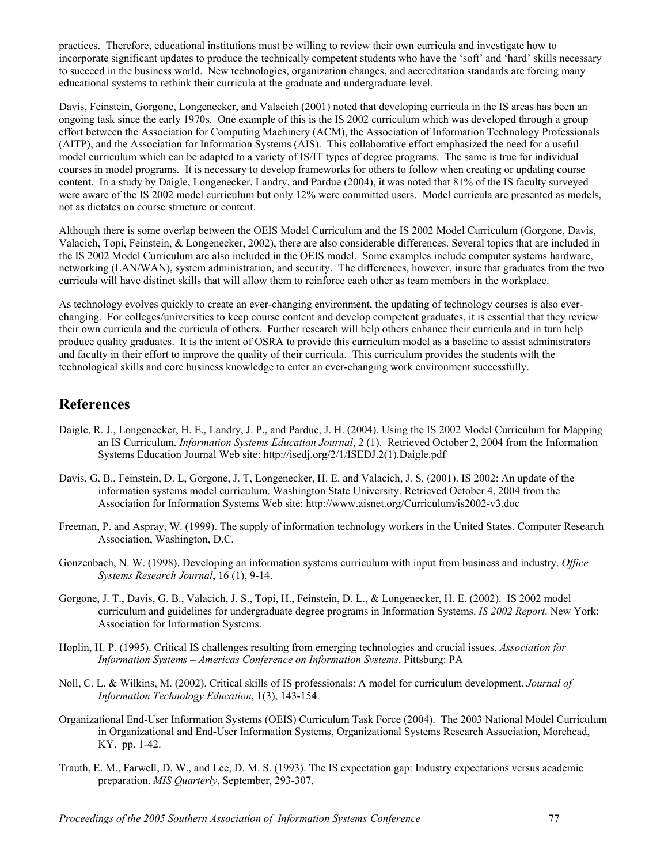practices. Therefore, educational institutions must be willing to review their own curricula and investigate how to incorporate significant updates to produce the technically competent students who have the 'soft' and 'hard' skills necessary to succeed in the business world. New technologies, organization changes, and accreditation standards are forcing many educational systems to rethink their curricula at the graduate and undergraduate level.

Davis, Feinstein, Gorgone, Longenecker, and Valacich (2001) noted that developing curricula in the IS areas has been an ongoing task since the early 1970s. One example of this is the IS 2002 curriculum which was developed through a group effort between the Association for Computing Machinery (ACM), the Association of Information Technology Professionals (AITP), and the Association for Information Systems (AIS). This collaborative effort emphasized the need for a useful model curriculum which can be adapted to a variety of IS/IT types of degree programs. The same is true for individual courses in model programs. It is necessary to develop frameworks for others to follow when creating or updating course content. In a study by Daigle, Longenecker, Landry, and Pardue (2004), it was noted that 81% of the IS faculty surveyed were aware of the IS 2002 model curriculum but only 12% were committed users. Model curricula are presented as models, not as dictates on course structure or content.

Although there is some overlap between the OEIS Model Curriculum and the IS 2002 Model Curriculum (Gorgone, Davis, Valacich, Topi, Feinstein, & Longenecker, 2002), there are also considerable differences. Several topics that are included in the IS 2002 Model Curriculum are also included in the OEIS model. Some examples include computer systems hardware, networking (LAN/WAN), system administration, and security. The differences, however, insure that graduates from the two curricula will have distinct skills that will allow them to reinforce each other as team members in the workplace.

As technology evolves quickly to create an ever-changing environment, the updating of technology courses is also everchanging. For colleges/universities to keep course content and develop competent graduates, it is essential that they review their own curricula and the curricula of others. Further research will help others enhance their curricula and in turn help produce quality graduates. It is the intent of OSRA to provide this curriculum model as a baseline to assist administrators and faculty in their effort to improve the quality of their curricula. This curriculum provides the students with the technological skills and core business knowledge to enter an ever-changing work environment successfully.

## **References**

- Daigle, R. J., Longenecker, H. E., Landry, J. P., and Pardue, J. H. (2004). Using the IS 2002 Model Curriculum for Mapping an IS Curriculum. *Information Systems Education Journal*, 2 (1). Retrieved October 2, 2004 from the Information Systems Education Journal Web site: http://isedj.org/2/1/ISEDJ.2(1).Daigle.pdf
- Davis, G. B., Feinstein, D. L, Gorgone, J. T, Longenecker, H. E. and Valacich, J. S. (2001). IS 2002: An update of the information systems model curriculum. Washington State University. Retrieved October 4, 2004 from the Association for Information Systems Web site: http://www.aisnet.org/Curriculum/is2002-v3.doc
- Freeman, P. and Aspray, W. (1999). The supply of information technology workers in the United States. Computer Research Association, Washington, D.C.
- Gonzenbach, N. W. (1998). Developing an information systems curriculum with input from business and industry. *Office Systems Research Journal*, 16 (1), 9-14.
- Gorgone, J. T., Davis, G. B., Valacich, J. S., Topi, H., Feinstein, D. L., & Longenecker, H. E. (2002). IS 2002 model curriculum and guidelines for undergraduate degree programs in Information Systems. *IS 2002 Report*. New York: Association for Information Systems.
- Hoplin, H. P. (1995). Critical IS challenges resulting from emerging technologies and crucial issues. *Association for Information Systems – Americas Conference on Information Systems*. Pittsburg: PA
- Noll, C. L. & Wilkins, M. (2002). Critical skills of IS professionals: A model for curriculum development. *Journal of Information Technology Education*, 1(3), 143-154.
- Organizational End-User Information Systems (OEIS) Curriculum Task Force (2004). The 2003 National Model Curriculum in Organizational and End-User Information Systems, Organizational Systems Research Association, Morehead, KY. pp. 1-42.
- Trauth, E. M., Farwell, D. W., and Lee, D. M. S. (1993). The IS expectation gap: Industry expectations versus academic preparation. *MIS Quarterly*, September, 293-307.